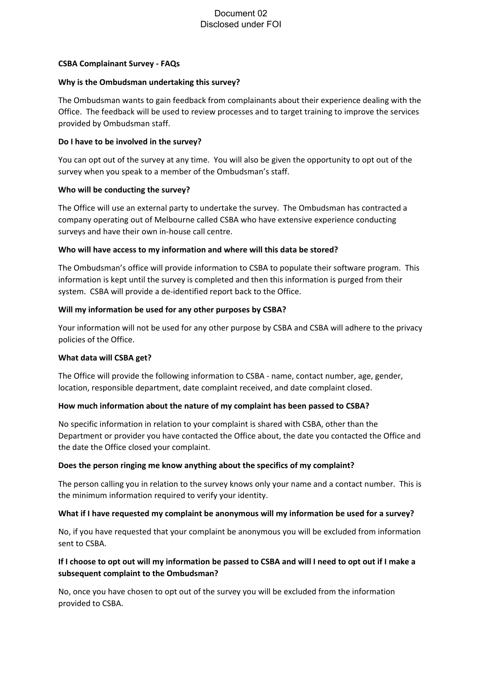# Document 02 Disclosed under FOI

## **CSBA Complainant Survey - FAQs**

## **Why is the Ombudsman undertaking this survey?**

The Ombudsman wants to gain feedback from complainants about their experience dealing with the Office. The feedback will be used to review processes and to target training to improve the services provided by Ombudsman staff.

## **Do I have to be involved in the survey?**

You can opt out of the survey at any time. You will also be given the opportunity to opt out of the survey when you speak to a member of the Ombudsman's staff.

## **Who will be conducting the survey?**

The Office will use an external party to undertake the survey. The Ombudsman has contracted a company operating out of Melbourne called CSBA who have extensive experience conducting surveys and have their own in-house call centre.

## **Who will have access to my information and where will this data be stored?**

The Ombudsman's office will provide information to CSBA to populate their software program. This information is kept until the survey is completed and then this information is purged from their system. CSBA will provide a de-identified report back to the Office.

## **Will my information be used for any other purposes by CSBA?**

Your information will not be used for any other purpose by CSBA and CSBA will adhere to the privacy policies of the Office.

#### **What data will CSBA get?**

The Office will provide the following information to CSBA - name, contact number, age, gender, location, responsible department, date complaint received, and date complaint closed.

## **How much information about the nature of my complaint has been passed to CSBA?**

No specific information in relation to your complaint is shared with CSBA, other than the Department or provider you have contacted the Office about, the date you contacted the Office and the date the Office closed your complaint.

## **Does the person ringing me know anything about the specifics of my complaint?**

The person calling you in relation to the survey knows only your name and a contact number. This is the minimum information required to verify your identity.

#### **What if I have requested my complaint be anonymous will my information be used for a survey?**

No, if you have requested that your complaint be anonymous you will be excluded from information sent to CSBA.

# **If I choose to opt out will my information be passed to CSBA and will I need to opt out if I make a subsequent complaint to the Ombudsman?**

No, once you have chosen to opt out of the survey you will be excluded from the information provided to CSBA.